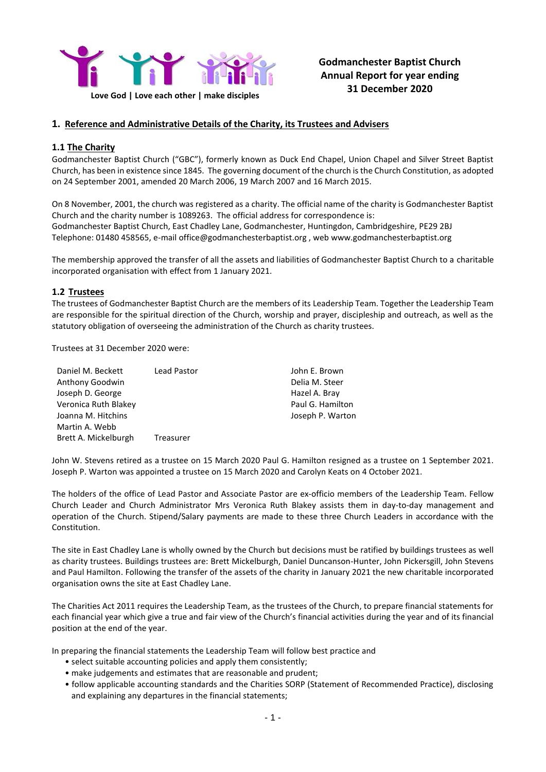

# **Godmanchester Baptist Church Annual Report for year ending 31 December 2020**

# **1. Reference and Administrative Details of the Charity, its Trustees and Advisers**

# **1.1 The Charity**

Godmanchester Baptist Church ("GBC"), formerly known as Duck End Chapel, Union Chapel and Silver Street Baptist Church, has been in existence since 1845. The governing document of the church is the Church Constitution, as adopted on 24 September 2001, amended 20 March 2006, 19 March 2007 and 16 March 2015.

On 8 November, 2001, the church was registered as a charity. The official name of the charity is Godmanchester Baptist Church and the charity number is 1089263. The official address for correspondence is: Godmanchester Baptist Church, East Chadley Lane, Godmanchester, Huntingdon, Cambridgeshire, PE29 2BJ Telephone: 01480 458565, e-mail office@godmanchesterbaptist.org , web www.godmanchesterbaptist.org

The membership approved the transfer of all the assets and liabilities of Godmanchester Baptist Church to a charitable incorporated organisation with effect from 1 January 2021.

# **1.2 Trustees**

The trustees of Godmanchester Baptist Church are the members of its Leadership Team. Together the Leadership Team are responsible for the spiritual direction of the Church, worship and prayer, discipleship and outreach, as well as the statutory obligation of overseeing the administration of the Church as charity trustees.

Trustees at 31 December 2020 were:

| Daniel M. Beckett    | Lead Pastor | John E. Brown    |
|----------------------|-------------|------------------|
| Anthony Goodwin      |             | Delia M. Steer   |
| Joseph D. George     |             | Hazel A. Bray    |
| Veronica Ruth Blakey |             | Paul G. Hamilton |
| Joanna M. Hitchins   |             | Joseph P. Warton |
| Martin A. Webb       |             |                  |
| Brett A. Mickelburgh | Treasurer   |                  |

John W. Stevens retired as a trustee on 15 March 2020 Paul G. Hamilton resigned as a trustee on 1 September 2021. Joseph P. Warton was appointed a trustee on 15 March 2020 and Carolyn Keats on 4 October 2021.

The holders of the office of Lead Pastor and Associate Pastor are ex-officio members of the Leadership Team. Fellow Church Leader and Church Administrator Mrs Veronica Ruth Blakey assists them in day-to-day management and operation of the Church. Stipend/Salary payments are made to these three Church Leaders in accordance with the Constitution.

The site in East Chadley Lane is wholly owned by the Church but decisions must be ratified by buildings trustees as well as charity trustees. Buildings trustees are: Brett Mickelburgh, Daniel Duncanson-Hunter, John Pickersgill, John Stevens and Paul Hamilton. Following the transfer of the assets of the charity in January 2021 the new charitable incorporated organisation owns the site at East Chadley Lane.

The Charities Act 2011 requires the Leadership Team, as the trustees of the Church, to prepare financial statements for each financial year which give a true and fair view of the Church's financial activities during the year and of its financial position at the end of the year.

In preparing the financial statements the Leadership Team will follow best practice and

- select suitable accounting policies and apply them consistently;
- make judgements and estimates that are reasonable and prudent;
- follow applicable accounting standards and the Charities SORP (Statement of Recommended Practice), disclosing and explaining any departures in the financial statements;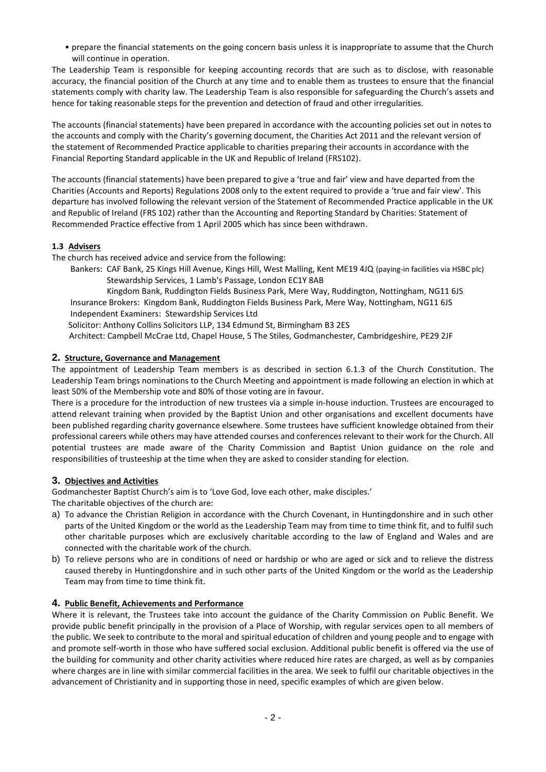• prepare the financial statements on the going concern basis unless it is inappropriate to assume that the Church will continue in operation.

The Leadership Team is responsible for keeping accounting records that are such as to disclose, with reasonable accuracy, the financial position of the Church at any time and to enable them as trustees to ensure that the financial statements comply with charity law. The Leadership Team is also responsible for safeguarding the Church's assets and hence for taking reasonable steps for the prevention and detection of fraud and other irregularities.

The accounts (financial statements) have been prepared in accordance with the accounting policies set out in notes to the accounts and comply with the Charity's governing document, the Charities Act 2011 and the relevant version of the statement of Recommended Practice applicable to charities preparing their accounts in accordance with the Financial Reporting Standard applicable in the UK and Republic of Ireland (FRS102).

The accounts (financial statements) have been prepared to give a 'true and fair' view and have departed from the Charities (Accounts and Reports) Regulations 2008 only to the extent required to provide a 'true and fair view'. This departure has involved following the relevant version of the Statement of Recommended Practice applicable in the UK and Republic of Ireland (FRS 102) rather than the Accounting and Reporting Standard by Charities: Statement of Recommended Practice effective from 1 April 2005 which has since been withdrawn.

# **1.3 Advisers**

The church has received advice and service from the following:

Bankers: CAF Bank, 25 Kings Hill Avenue, Kings Hill, West Malling, Kent ME19 4JQ (paying-in facilities via HSBC plc) Stewardship Services, 1 Lamb's Passage, London EC1Y 8AB

Kingdom Bank, Ruddington Fields Business Park, Mere Way, Ruddington, Nottingham, NG11 6JS Insurance Brokers: Kingdom Bank, Ruddington Fields Business Park, Mere Way, Nottingham, NG11 6JS Independent Examiners: Stewardship Services Ltd

Solicitor: Anthony Collins Solicitors LLP, 134 Edmund St, Birmingham B3 2ES

Architect: Campbell McCrae Ltd, Chapel House, 5 The Stiles, Godmanchester, Cambridgeshire, PE29 2JF

# **2. Structure, Governance and Management**

The appointment of Leadership Team members is as described in section 6.1.3 of the Church Constitution. The Leadership Team brings nominations to the Church Meeting and appointment is made following an election in which at least 50% of the Membership vote and 80% of those voting are in favour.

There is a procedure for the introduction of new trustees via a simple in-house induction. Trustees are encouraged to attend relevant training when provided by the Baptist Union and other organisations and excellent documents have been published regarding charity governance elsewhere. Some trustees have sufficient knowledge obtained from their professional careers while others may have attended courses and conferences relevant to their work for the Church. All potential trustees are made aware of the Charity Commission and Baptist Union guidance on the role and responsibilities of trusteeship at the time when they are asked to consider standing for election.

# **3. Objectives and Activities**

Godmanchester Baptist Church's aim is to 'Love God, love each other, make disciples.'

The charitable objectives of the church are:

- a) To advance the Christian Religion in accordance with the Church Covenant, in Huntingdonshire and in such other parts of the United Kingdom or the world as the Leadership Team may from time to time think fit, and to fulfil such other charitable purposes which are exclusively charitable according to the law of England and Wales and are connected with the charitable work of the church.
- b) To relieve persons who are in conditions of need or hardship or who are aged or sick and to relieve the distress caused thereby in Huntingdonshire and in such other parts of the United Kingdom or the world as the Leadership Team may from time to time think fit.

# **4. Public Benefit, Achievements and Performance**

Where it is relevant, the Trustees take into account the guidance of the Charity Commission on Public Benefit. We provide public benefit principally in the provision of a Place of Worship, with regular services open to all members of the public. We seek to contribute to the moral and spiritual education of children and young people and to engage with and promote self-worth in those who have suffered social exclusion. Additional public benefit is offered via the use of the building for community and other charity activities where reduced hire rates are charged, as well as by companies where charges are in line with similar commercial facilities in the area. We seek to fulfil our charitable objectives in the advancement of Christianity and in supporting those in need, specific examples of which are given below.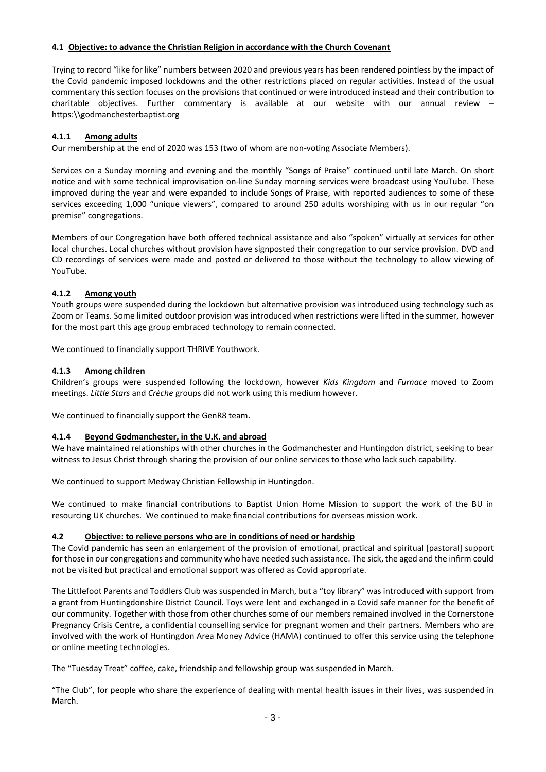# **4.1 Objective: to advance the Christian Religion in accordance with the Church Covenant**

Trying to record "like for like" numbers between 2020 and previous years has been rendered pointless by the impact of the Covid pandemic imposed lockdowns and the other restrictions placed on regular activities. Instead of the usual commentary this section focuses on the provisions that continued or were introduced instead and their contribution to charitable objectives. Further commentary is available at our website with our annual review – https:\\godmanchesterbaptist.org

# **4.1.1 Among adults**

Our membership at the end of 2020 was 153 (two of whom are non-voting Associate Members).

Services on a Sunday morning and evening and the monthly "Songs of Praise" continued until late March. On short notice and with some technical improvisation on-line Sunday morning services were broadcast using YouTube. These improved during the year and were expanded to include Songs of Praise, with reported audiences to some of these services exceeding 1,000 "unique viewers", compared to around 250 adults worshiping with us in our regular "on premise" congregations.

Members of our Congregation have both offered technical assistance and also "spoken" virtually at services for other local churches. Local churches without provision have signposted their congregation to our service provision. DVD and CD recordings of services were made and posted or delivered to those without the technology to allow viewing of YouTube.

# **4.1.2 Among youth**

Youth groups were suspended during the lockdown but alternative provision was introduced using technology such as Zoom or Teams. Some limited outdoor provision was introduced when restrictions were lifted in the summer, however for the most part this age group embraced technology to remain connected.

We continued to financially support THRIVE Youthwork.

# **4.1.3 Among children**

Children's groups were suspended following the lockdown, however *Kids Kingdom* and *Furnace* moved to Zoom meetings. *Little Stars* and *Crèche* groups did not work using this medium however.

We continued to financially support the GenR8 team.

## **4.1.4 Beyond Godmanchester, in the U.K. and abroad**

We have maintained relationships with other churches in the Godmanchester and Huntingdon district, seeking to bear witness to Jesus Christ through sharing the provision of our online services to those who lack such capability.

We continued to support Medway Christian Fellowship in Huntingdon.

We continued to make financial contributions to Baptist Union Home Mission to support the work of the BU in resourcing UK churches. We continued to make financial contributions for overseas mission work.

# **4.2 Objective: to relieve persons who are in conditions of need or hardship**

The Covid pandemic has seen an enlargement of the provision of emotional, practical and spiritual [pastoral] support for those in our congregations and community who have needed such assistance. The sick, the aged and the infirm could not be visited but practical and emotional support was offered as Covid appropriate.

The Littlefoot Parents and Toddlers Club was suspended in March, but a "toy library" was introduced with support from a grant from Huntingdonshire District Council. Toys were lent and exchanged in a Covid safe manner for the benefit of our community. Together with those from other churches some of our members remained involved in the Cornerstone Pregnancy Crisis Centre, a confidential counselling service for pregnant women and their partners. Members who are involved with the work of Huntingdon Area Money Advice (HAMA) continued to offer this service using the telephone or online meeting technologies.

The "Tuesday Treat" coffee, cake, friendship and fellowship group was suspended in March.

"The Club", for people who share the experience of dealing with mental health issues in their lives, was suspended in March.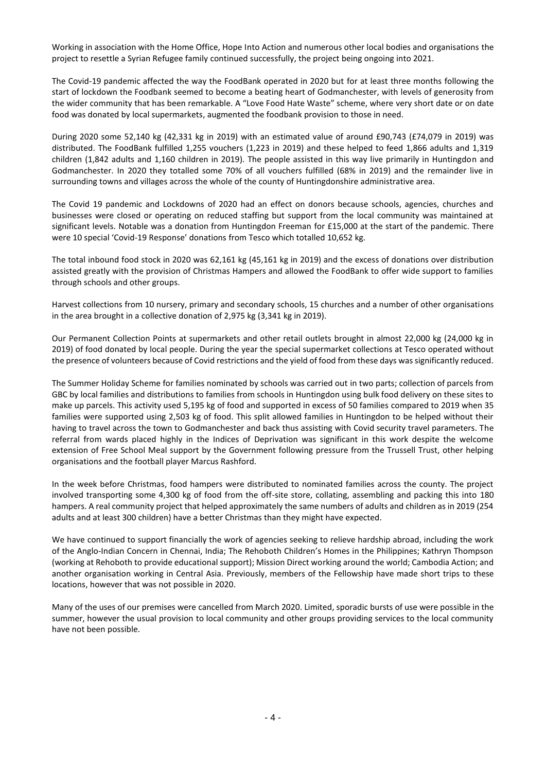Working in association with the Home Office, Hope Into Action and numerous other local bodies and organisations the project to resettle a Syrian Refugee family continued successfully, the project being ongoing into 2021.

The Covid-19 pandemic affected the way the FoodBank operated in 2020 but for at least three months following the start of lockdown the Foodbank seemed to become a beating heart of Godmanchester, with levels of generosity from the wider community that has been remarkable. A "Love Food Hate Waste" scheme, where very short date or on date food was donated by local supermarkets, augmented the foodbank provision to those in need.

During 2020 some 52,140 kg (42,331 kg in 2019) with an estimated value of around £90,743 (£74,079 in 2019) was distributed. The FoodBank fulfilled 1,255 vouchers (1,223 in 2019) and these helped to feed 1,866 adults and 1,319 children (1,842 adults and 1,160 children in 2019). The people assisted in this way live primarily in Huntingdon and Godmanchester. In 2020 they totalled some 70% of all vouchers fulfilled (68% in 2019) and the remainder live in surrounding towns and villages across the whole of the county of Huntingdonshire administrative area.

The Covid 19 pandemic and Lockdowns of 2020 had an effect on donors because schools, agencies, churches and businesses were closed or operating on reduced staffing but support from the local community was maintained at significant levels. Notable was a donation from Huntingdon Freeman for £15,000 at the start of the pandemic. There were 10 special 'Covid-19 Response' donations from Tesco which totalled 10,652 kg.

The total inbound food stock in 2020 was 62,161 kg (45,161 kg in 2019) and the excess of donations over distribution assisted greatly with the provision of Christmas Hampers and allowed the FoodBank to offer wide support to families through schools and other groups.

Harvest collections from 10 nursery, primary and secondary schools, 15 churches and a number of other organisations in the area brought in a collective donation of 2,975 kg (3,341 kg in 2019).

Our Permanent Collection Points at supermarkets and other retail outlets brought in almost 22,000 kg (24,000 kg in 2019) of food donated by local people. During the year the special supermarket collections at Tesco operated without the presence of volunteers because of Covid restrictions and the yield of food from these days was significantly reduced.

The Summer Holiday Scheme for families nominated by schools was carried out in two parts; collection of parcels from GBC by local families and distributions to families from schools in Huntingdon using bulk food delivery on these sites to make up parcels. This activity used 5,195 kg of food and supported in excess of 50 families compared to 2019 when 35 families were supported using 2,503 kg of food. This split allowed families in Huntingdon to be helped without their having to travel across the town to Godmanchester and back thus assisting with Covid security travel parameters. The referral from wards placed highly in the Indices of Deprivation was significant in this work despite the welcome extension of Free School Meal support by the Government following pressure from the Trussell Trust, other helping organisations and the football player Marcus Rashford.

In the week before Christmas, food hampers were distributed to nominated families across the county. The project involved transporting some 4,300 kg of food from the off-site store, collating, assembling and packing this into 180 hampers. A real community project that helped approximately the same numbers of adults and children as in 2019 (254 adults and at least 300 children) have a better Christmas than they might have expected.

We have continued to support financially the work of agencies seeking to relieve hardship abroad, including the work of the Anglo-Indian Concern in Chennai, India; The Rehoboth Children's Homes in the Philippines; Kathryn Thompson (working at Rehoboth to provide educational support); Mission Direct working around the world; Cambodia Action; and another organisation working in Central Asia. Previously, members of the Fellowship have made short trips to these locations, however that was not possible in 2020.

Many of the uses of our premises were cancelled from March 2020. Limited, sporadic bursts of use were possible in the summer, however the usual provision to local community and other groups providing services to the local community have not been possible.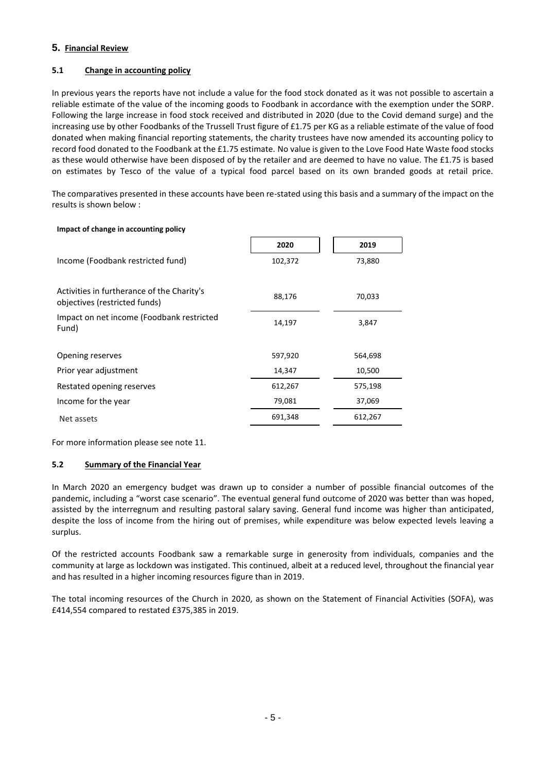# **5. Financial Review**

# **5.1 Change in accounting policy**

In previous years the reports have not include a value for the food stock donated as it was not possible to ascertain a reliable estimate of the value of the incoming goods to Foodbank in accordance with the exemption under the SORP. Following the large increase in food stock received and distributed in 2020 (due to the Covid demand surge) and the increasing use by other Foodbanks of the Trussell Trust figure of £1.75 per KG as a reliable estimate of the value of food donated when making financial reporting statements, the charity trustees have now amended its accounting policy to record food donated to the Foodbank at the £1.75 estimate. No value is given to the Love Food Hate Waste food stocks as these would otherwise have been disposed of by the retailer and are deemed to have no value. The £1.75 is based on estimates by Tesco of the value of a typical food parcel based on its own branded goods at retail price.

The comparatives presented in these accounts have been re-stated using this basis and a summary of the impact on the results is shown below :

| Impact of change in accounting policy                                       |         |         |
|-----------------------------------------------------------------------------|---------|---------|
|                                                                             | 2020    | 2019    |
| Income (Foodbank restricted fund)                                           | 102,372 | 73,880  |
| Activities in furtherance of the Charity's<br>objectives (restricted funds) | 88,176  | 70,033  |
| Impact on net income (Foodbank restricted<br>Fund)                          | 14,197  | 3,847   |
| Opening reserves                                                            | 597,920 | 564,698 |
| Prior year adjustment                                                       | 14,347  | 10,500  |
| Restated opening reserves                                                   | 612,267 | 575,198 |
| Income for the year                                                         | 79,081  | 37,069  |
| Net assets                                                                  | 691,348 | 612,267 |

For more information please see note 11.

## **5.2 Summary of the Financial Year**

In March 2020 an emergency budget was drawn up to consider a number of possible financial outcomes of the pandemic, including a "worst case scenario". The eventual general fund outcome of 2020 was better than was hoped, assisted by the interregnum and resulting pastoral salary saving. General fund income was higher than anticipated, despite the loss of income from the hiring out of premises, while expenditure was below expected levels leaving a surplus.

Of the restricted accounts Foodbank saw a remarkable surge in generosity from individuals, companies and the community at large as lockdown was instigated. This continued, albeit at a reduced level, throughout the financial year and has resulted in a higher incoming resources figure than in 2019.

The total incoming resources of the Church in 2020, as shown on the Statement of Financial Activities (SOFA), was £414,554 compared to restated £375,385 in 2019.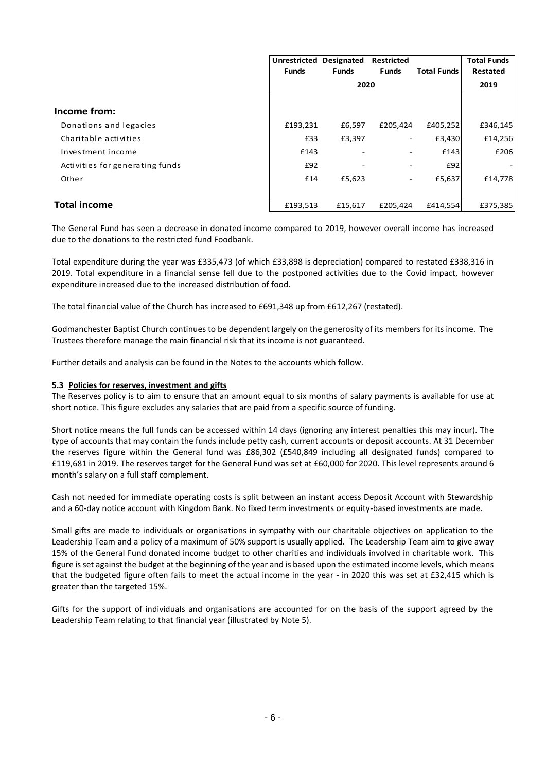|                                 | Unrestricted | Designated   | <b>Restricted</b> |                    | <b>Total Funds</b> |
|---------------------------------|--------------|--------------|-------------------|--------------------|--------------------|
|                                 | <b>Funds</b> | <b>Funds</b> | <b>Funds</b>      | <b>Total Funds</b> | Restated           |
|                                 |              | 2020         |                   |                    | 2019               |
|                                 |              |              |                   |                    |                    |
| Income from:                    |              |              |                   |                    |                    |
| Donations and legacies          | £193,231     | £6,597       | £205,424          | £405,252           | £346,145           |
| Charitable activities           | £33          | £3,397       | ۰.                | £3,430             | £14,256            |
| Investment income               | £143         |              |                   | £143               | £206               |
| Activities for generating funds | £92          |              |                   | £92                |                    |
| Other                           | £14          | £5,623       | -                 | £5,637             | £14,778            |
|                                 |              |              |                   |                    |                    |
| <b>Total income</b>             | £193,513     | £15,617      | £205.424          | £414.554           | £375,385           |

The General Fund has seen a decrease in donated income compared to 2019, however overall income has increased due to the donations to the restricted fund Foodbank.

Total expenditure during the year was £335,473 (of which £33,898 is depreciation) compared to restated £338,316 in 2019. Total expenditure in a financial sense fell due to the postponed activities due to the Covid impact, however expenditure increased due to the increased distribution of food.

The total financial value of the Church has increased to £691,348 up from £612,267 (restated).

Godmanchester Baptist Church continues to be dependent largely on the generosity of its members for its income. The Trustees therefore manage the main financial risk that its income is not guaranteed.

Further details and analysis can be found in the Notes to the accounts which follow.

## **5.3 Policies for reserves, investment and gifts**

The Reserves policy is to aim to ensure that an amount equal to six months of salary payments is available for use at short notice. This figure excludes any salaries that are paid from a specific source of funding.

Short notice means the full funds can be accessed within 14 days (ignoring any interest penalties this may incur). The type of accounts that may contain the funds include petty cash, current accounts or deposit accounts. At 31 December the reserves figure within the General fund was £86,302 (£540,849 including all designated funds) compared to £119,681 in 2019. The reserves target for the General Fund was set at £60,000 for 2020. This level represents around 6 month's salary on a full staff complement.

Cash not needed for immediate operating costs is split between an instant access Deposit Account with Stewardship and a 60-day notice account with Kingdom Bank. No fixed term investments or equity-based investments are made.

Small gifts are made to individuals or organisations in sympathy with our charitable objectives on application to the Leadership Team and a policy of a maximum of 50% support is usually applied. The Leadership Team aim to give away 15% of the General Fund donated income budget to other charities and individuals involved in charitable work. This figure is set against the budget at the beginning of the year and is based upon the estimated income levels, which means that the budgeted figure often fails to meet the actual income in the year - in 2020 this was set at £32,415 which is greater than the targeted 15%.

Gifts for the support of individuals and organisations are accounted for on the basis of the support agreed by the Leadership Team relating to that financial year (illustrated by Note 5).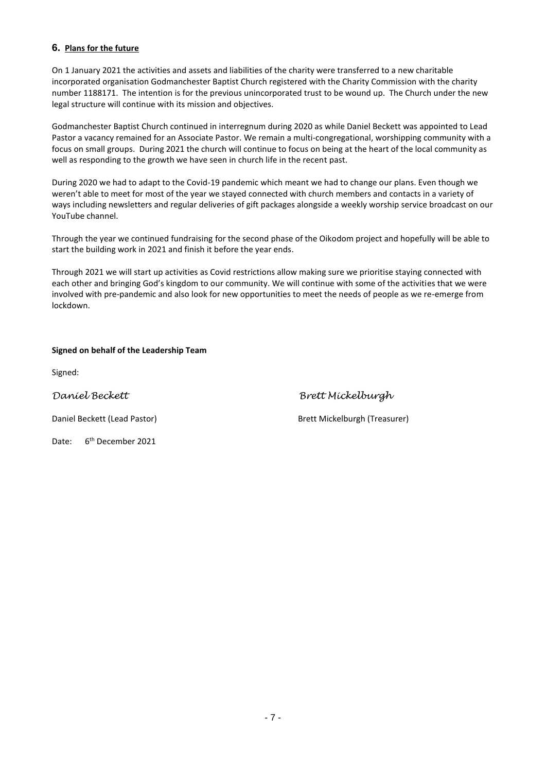# **6. Plans for the future**

On 1 January 2021 the activities and assets and liabilities of the charity were transferred to a new charitable incorporated organisation Godmanchester Baptist Church registered with the Charity Commission with the charity number 1188171. The intention is for the previous unincorporated trust to be wound up. The Church under the new legal structure will continue with its mission and objectives.

Godmanchester Baptist Church continued in interregnum during 2020 as while Daniel Beckett was appointed to Lead Pastor a vacancy remained for an Associate Pastor. We remain a multi-congregational, worshipping community with a focus on small groups. During 2021 the church will continue to focus on being at the heart of the local community as well as responding to the growth we have seen in church life in the recent past.

During 2020 we had to adapt to the Covid-19 pandemic which meant we had to change our plans. Even though we weren't able to meet for most of the year we stayed connected with church members and contacts in a variety of ways including newsletters and regular deliveries of gift packages alongside a weekly worship service broadcast on our YouTube channel.

Through the year we continued fundraising for the second phase of the Oikodom project and hopefully will be able to start the building work in 2021 and finish it before the year ends.

Through 2021 we will start up activities as Covid restrictions allow making sure we prioritise staying connected with each other and bringing God's kingdom to our community. We will continue with some of the activities that we were involved with pre-pandemic and also look for new opportunities to meet the needs of people as we re-emerge from lockdown.

# **Signed on behalf of the Leadership Team**

Signed:

*Daniel Beckett Brett Mickelburgh*

Date: 6<sup>th</sup> December 2021

Daniel Beckett (Lead Pastor) Brett Mickelburgh (Treasurer)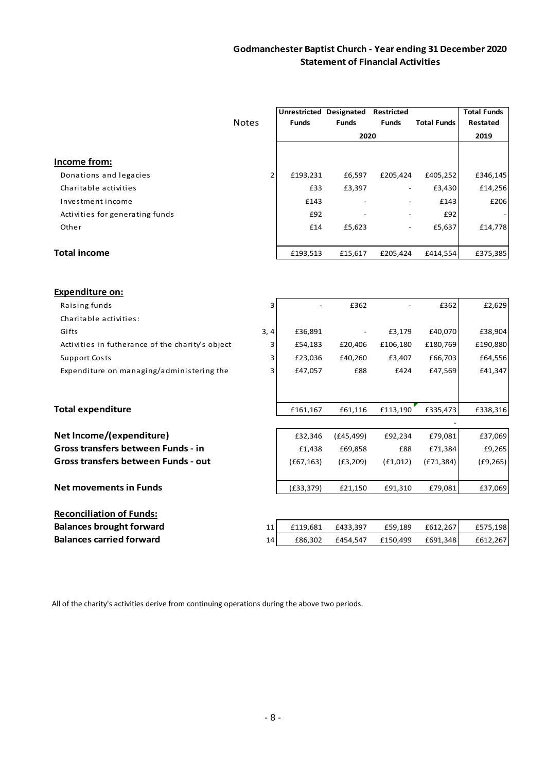|                                                  |                | Unrestricted Designated |                          | <b>Restricted</b> |                    | <b>Total Funds</b> |
|--------------------------------------------------|----------------|-------------------------|--------------------------|-------------------|--------------------|--------------------|
|                                                  | <b>Notes</b>   | <b>Funds</b>            | <b>Funds</b>             | <b>Funds</b>      | <b>Total Funds</b> | <b>Restated</b>    |
|                                                  |                |                         | 2020                     |                   |                    | 2019               |
| Income from:                                     |                |                         |                          |                   |                    |                    |
| Donations and legacies                           | $\overline{2}$ | £193,231                | £6,597                   | £205,424          | £405,252           | £346,145           |
| Charitable activities                            |                | £33                     | £3,397                   |                   | £3,430             | £14,256            |
| Investment income                                |                | £143                    |                          |                   | £143               | £206               |
| Activities for generating funds                  |                | £92                     |                          |                   | £92                |                    |
| Other                                            |                | £14                     | £5,623                   |                   | £5,637             | £14,778            |
| <b>Total income</b>                              |                | £193,513                | £15,617                  | £205,424          | £414,554           | £375,385           |
| Expenditure on:                                  |                |                         |                          |                   |                    |                    |
| Raising funds                                    | 3              |                         | £362                     |                   | £362               | £2,629             |
| Charitable activities:                           |                |                         |                          |                   |                    |                    |
| Gifts                                            | 3, 4           | £36,891                 | $\overline{\phantom{m}}$ | £3,179            | £40,070            | £38,904            |
| Activities in futherance of the charity's object | 3              | £54,183                 | £20,406                  | £106,180          | £180,769           | £190,880           |
| <b>Support Costs</b>                             | 3              | £23,036                 | £40,260                  | £3,407            | £66,703            | £64,556            |
| Expenditure on managing/administering the        | 3              | £47,057                 | £88                      | £424              | £47,569            | £41,347            |
|                                                  |                |                         |                          |                   |                    |                    |
| <b>Total expenditure</b>                         |                | £161,167                | £61,116                  | £113,190          | £335,473           | £338,316           |
| Net Income/(expenditure)                         |                | £32,346                 | (E45, 499)               | £92,234           | £79,081            | £37,069            |
| Gross transfers between Funds - in               |                | £1,438                  | £69,858                  | £88               | £71,384            | £9,265             |
| Gross transfers between Funds - out              |                | (E67, 163)              | (E3, 209)                | (f1,012)          | (E71, 384)         | (E9, 265)          |
| <b>Net movements in Funds</b>                    |                | (E33, 379)              | £21,150                  | £91,310           | £79,081            | £37,069            |
| <b>Reconciliation of Funds:</b>                  |                |                         |                          |                   |                    |                    |
| <b>Balances brought forward</b>                  | 11             | £119,681                | £433,397                 | £59,189           | £612,267           | £575,198           |
| <b>Balances carried forward</b>                  | 14             | £86,302                 | £454,547                 | £150,499          | £691,348           | £612,267           |
|                                                  |                |                         |                          |                   |                    |                    |

All of the charity's activities derive from continuing operations during the above two periods.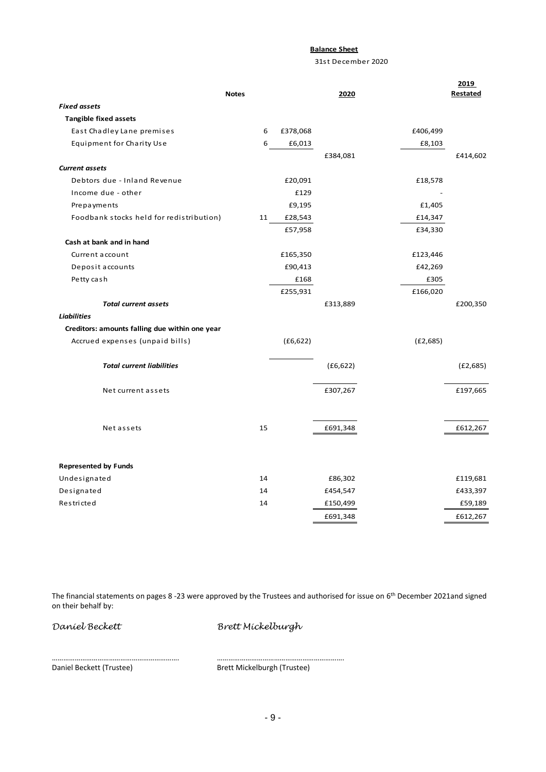## **Balance Sheet**

31st December 2020

|                                                | <b>Notes</b> |           | 2020      |           | 2019<br><b>Restated</b> |
|------------------------------------------------|--------------|-----------|-----------|-----------|-------------------------|
| <b>Fixed assets</b>                            |              |           |           |           |                         |
| <b>Tangible fixed assets</b>                   |              |           |           |           |                         |
| East Chadley Lane premises                     | 6            | £378,068  |           | £406,499  |                         |
| Equipment for Charity Use                      | 6            | £6,013    |           | £8,103    |                         |
|                                                |              |           | £384,081  |           | £414,602                |
| <b>Current assets</b>                          |              |           |           |           |                         |
| Debtors due - Inland Revenue                   |              | £20,091   |           | £18,578   |                         |
| Income due - other                             |              | £129      |           |           |                         |
| Prepayments                                    |              | £9,195    |           | £1,405    |                         |
| Foodbank stocks held for redistribution)       | 11           | £28,543   |           | £14,347   |                         |
|                                                |              | £57,958   |           | £34,330   |                         |
| Cash at bank and in hand                       |              |           |           |           |                         |
| Current account                                |              | £165,350  |           | £123,446  |                         |
| Deposit accounts                               |              | £90,413   |           | £42,269   |                         |
| Petty cash                                     |              | £168      |           | £305      |                         |
|                                                |              | £255,931  |           | £166,020  |                         |
| <b>Total current assets</b>                    |              |           | £313,889  |           | £200,350                |
| <b>Liabilities</b>                             |              |           |           |           |                         |
| Creditors: amounts falling due within one year |              |           |           |           |                         |
| Accrued expenses (unpaid bills)                |              | (E6, 622) |           | (E2, 685) |                         |
| <b>Total current liabilities</b>               |              |           | (E6, 622) |           | (E2,685)                |
|                                                |              |           |           |           |                         |
| Net current assets                             |              |           | £307,267  |           | £197,665                |
|                                                |              |           |           |           |                         |
| Net assets                                     | 15           |           | £691,348  |           | £612,267                |
|                                                |              |           |           |           |                         |
| <b>Represented by Funds</b>                    |              |           |           |           |                         |
| Undesignated                                   | 14           |           | £86,302   |           | £119,681                |
| Designated                                     | 14           |           | £454,547  |           | £433,397                |
| Restricted                                     | 14           |           | £150,499  |           | £59,189                 |
|                                                |              |           | £691,348  |           | £612,267                |

The financial statements on pages 8 -23 were approved by the Trustees and authorised for issue on 6 th December 2021and signed on their behalf by:

*Daniel Beckett Brett Mickelburgh*

…………………………………………………………. …………………………………………………………. Brett Mickelburgh (Trustee)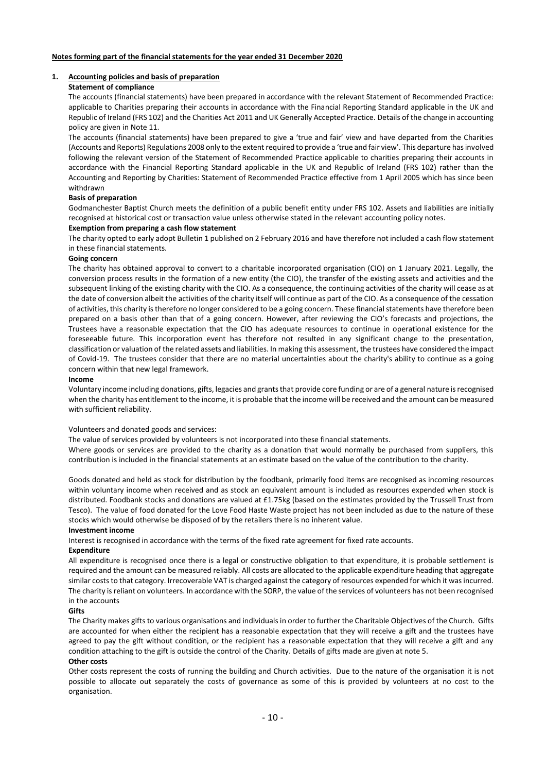#### **1. Accounting policies and basis of preparation**

## **Statement of compliance**

The accounts (financial statements) have been prepared in accordance with the relevant Statement of Recommended Practice: applicable to Charities preparing their accounts in accordance with the Financial Reporting Standard applicable in the UK and Republic of Ireland (FRS 102) and the Charities Act 2011 and UK Generally Accepted Practice. Details of the change in accounting policy are given in Note 11.

The accounts (financial statements) have been prepared to give a 'true and fair' view and have departed from the Charities (Accounts and Reports) Regulations 2008 only to the extent required to provide a 'true and fair view'. This departure has involved following the relevant version of the Statement of Recommended Practice applicable to charities preparing their accounts in accordance with the Financial Reporting Standard applicable in the UK and Republic of Ireland (FRS 102) rather than the Accounting and Reporting by Charities: Statement of Recommended Practice effective from 1 April 2005 which has since been withdrawn

#### **Basis of preparation**

Godmanchester Baptist Church meets the definition of a public benefit entity under FRS 102. Assets and liabilities are initially recognised at historical cost or transaction value unless otherwise stated in the relevant accounting policy notes.

#### **Exemption from preparing a cash flow statement**

The charity opted to early adopt Bulletin 1 published on 2 February 2016 and have therefore not included a cash flow statement in these financial statements.

#### **Going concern**

The charity has obtained approval to convert to a charitable incorporated organisation (CIO) on 1 January 2021. Legally, the conversion process results in the formation of a new entity (the CIO), the transfer of the existing assets and activities and the subsequent linking of the existing charity with the CIO. As a consequence, the continuing activities of the charity will cease as at the date of conversion albeit the activities of the charity itself will continue as part of the CIO. As a consequence of the cessation of activities, this charity is therefore no longer considered to be a going concern. These financial statements have therefore been prepared on a basis other than that of a going concern. However, after reviewing the CIO's forecasts and projections, the Trustees have a reasonable expectation that the CIO has adequate resources to continue in operational existence for the foreseeable future. This incorporation event has therefore not resulted in any significant change to the presentation, classification or valuation of the related assets and liabilities. In making this assessment, the trustees have considered the impact of Covid-19. The trustees consider that there are no material uncertainties about the charity's ability to continue as a going concern within that new legal framework.

#### **Income**

Voluntary income including donations, gifts, legacies and grants that provide core funding or are of a general nature is recognised when the charity has entitlement to the income, it is probable that the income will be received and the amount can be measured with sufficient reliability.

#### Volunteers and donated goods and services:

The value of services provided by volunteers is not incorporated into these financial statements.

Where goods or services are provided to the charity as a donation that would normally be purchased from suppliers, this contribution is included in the financial statements at an estimate based on the value of the contribution to the charity.

Goods donated and held as stock for distribution by the foodbank, primarily food items are recognised as incoming resources within voluntary income when received and as stock an equivalent amount is included as resources expended when stock is distributed. Foodbank stocks and donations are valued at £1.75kg (based on the estimates provided by the Trussell Trust from Tesco). The value of food donated for the Love Food Haste Waste project has not been included as due to the nature of these stocks which would otherwise be disposed of by the retailers there is no inherent value.

## **Investment income**

Interest is recognised in accordance with the terms of the fixed rate agreement for fixed rate accounts.

#### **Expenditure**

All expenditure is recognised once there is a legal or constructive obligation to that expenditure, it is probable settlement is required and the amount can be measured reliably. All costs are allocated to the applicable expenditure heading that aggregate similar costs to that category. Irrecoverable VAT is charged against the category of resources expended for which it was incurred. The charity is reliant on volunteers. In accordance with the SORP, the value of the services of volunteers has not been recognised in the accounts

## **Gifts**

The Charity makes gifts to various organisations and individuals in order to further the Charitable Objectives of the Church. Gifts are accounted for when either the recipient has a reasonable expectation that they will receive a gift and the trustees have agreed to pay the gift without condition, or the recipient has a reasonable expectation that they will receive a gift and any condition attaching to the gift is outside the control of the Charity. Details of gifts made are given at note 5.

## **Other costs**

Other costs represent the costs of running the building and Church activities. Due to the nature of the organisation it is not possible to allocate out separately the costs of governance as some of this is provided by volunteers at no cost to the organisation.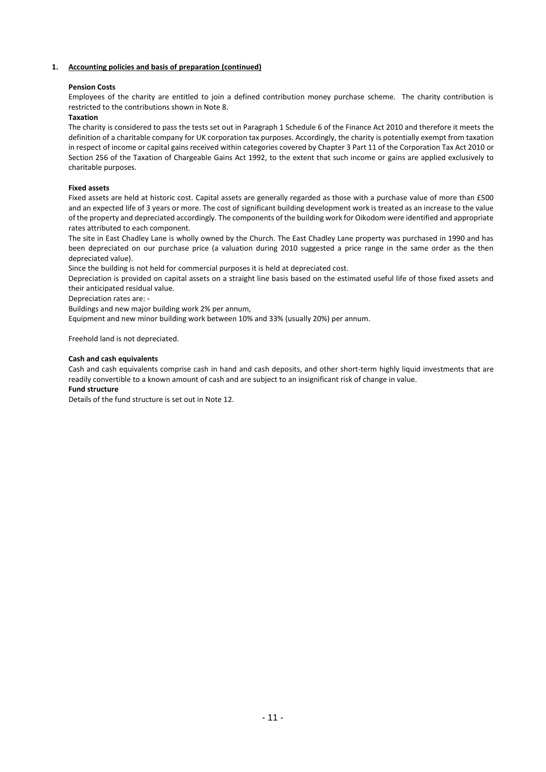## **1. Accounting policies and basis of preparation (continued)**

## **Pension Costs**

Employees of the charity are entitled to join a defined contribution money purchase scheme. The charity contribution is restricted to the contributions shown in Note 8.

## **Taxation**

The charity is considered to pass the tests set out in Paragraph 1 Schedule 6 of the Finance Act 2010 and therefore it meets the definition of a charitable company for UK corporation tax purposes. Accordingly, the charity is potentially exempt from taxation in respect of income or capital gains received within categories covered by Chapter 3 Part 11 of the Corporation Tax Act 2010 or Section 256 of the Taxation of Chargeable Gains Act 1992, to the extent that such income or gains are applied exclusively to charitable purposes.

## **Fixed assets**

Fixed assets are held at historic cost. Capital assets are generally regarded as those with a purchase value of more than £500 and an expected life of 3 years or more. The cost of significant building development work is treated as an increase to the value of the property and depreciated accordingly. The components of the building work for Oikodom were identified and appropriate rates attributed to each component.

The site in East Chadley Lane is wholly owned by the Church. The East Chadley Lane property was purchased in 1990 and has been depreciated on our purchase price (a valuation during 2010 suggested a price range in the same order as the then depreciated value).

Since the building is not held for commercial purposes it is held at depreciated cost.

Depreciation is provided on capital assets on a straight line basis based on the estimated useful life of those fixed assets and their anticipated residual value.

Depreciation rates are: -

Buildings and new major building work 2% per annum,

Equipment and new minor building work between 10% and 33% (usually 20%) per annum.

Freehold land is not depreciated.

## **Cash and cash equivalents**

Cash and cash equivalents comprise cash in hand and cash deposits, and other short-term highly liquid investments that are readily convertible to a known amount of cash and are subject to an insignificant risk of change in value.

## **Fund structure**

Details of the fund structure is set out in Note 12.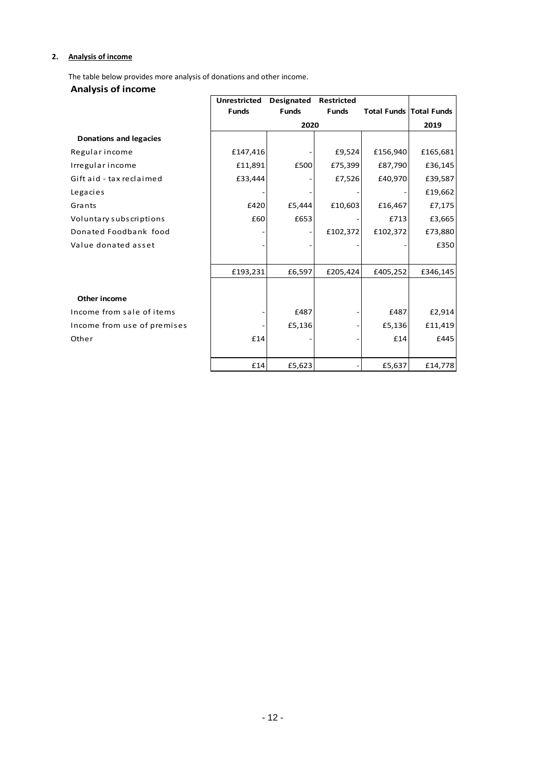# **2. Analysis of income**

The table below provides more analysis of donations and other income.

# **Analysis of income**

| <b>Alidiyals UI Illuullie</b> |                     |                   |                   |          |                                |
|-------------------------------|---------------------|-------------------|-------------------|----------|--------------------------------|
|                               | <b>Unrestricted</b> | <b>Designated</b> | <b>Restricted</b> |          |                                |
|                               | <b>Funds</b>        | <b>Funds</b>      | <b>Funds</b>      |          | <b>Total Funds Total Funds</b> |
|                               |                     | 2020              |                   |          | 2019                           |
| <b>Donations and legacies</b> |                     |                   |                   |          |                                |
| Regular income                | £147,416            |                   | £9,524            | £156,940 | £165,681                       |
| Irregular income              | £11,891             | £500              | £75,399           | £87,790  | £36,145                        |
| Gift aid - tax reclaimed      | £33,444             |                   | £7,526            | £40,970  | £39,587                        |
| Legacies                      |                     |                   |                   |          | £19,662                        |
| Grants                        | £420                | £5,444            | £10,603           | £16,467  | £7,175                         |
| Voluntary subscriptions       | £60                 | £653              |                   | £713     | £3,665                         |
| Donated Foodbank food         |                     |                   | £102,372          | £102,372 | £73,880                        |
| Value donated asset           |                     |                   |                   |          | £350                           |
|                               |                     |                   |                   |          |                                |
|                               | £193,231            | £6,597            | £205,424          | £405,252 | £346,145                       |
|                               |                     |                   |                   |          |                                |
| Other income                  |                     |                   |                   |          |                                |
| Income from sale of items     |                     | £487              |                   | £487     | £2,914                         |
| Income from use of premises   |                     | £5,136            |                   | £5,136   | £11,419                        |
| Other                         | £14                 |                   |                   | £14      | £445                           |
|                               |                     |                   |                   |          |                                |
|                               | £14                 | £5,623            |                   | £5,637   | £14,778                        |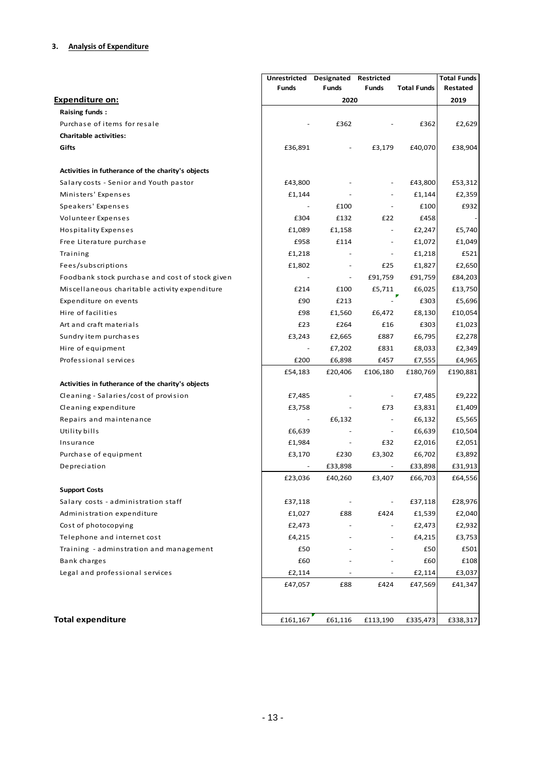|                                                   | Unrestricted | Designated               | Restricted               |                    | <b>Total Funds</b> |
|---------------------------------------------------|--------------|--------------------------|--------------------------|--------------------|--------------------|
|                                                   | Funds        | <b>Funds</b>             | <b>Funds</b>             | <b>Total Funds</b> | Restated           |
| <b>Expenditure on:</b>                            |              | 2020                     |                          |                    | 2019               |
| Raising funds:                                    |              |                          |                          |                    |                    |
| Purchase of items for resale                      |              | £362                     |                          | £362               | £2,629             |
| <b>Charitable activities:</b>                     |              |                          |                          |                    |                    |
| Gifts                                             | £36,891      |                          | £3,179                   | £40,070            | £38,904            |
| Activities in futherance of the charity's objects |              |                          |                          |                    |                    |
| Salary costs - Senior and Youth pastor            | £43,800      |                          |                          | £43,800            | £53,312            |
| Ministers' Expenses                               | £1,144       |                          |                          | £1,144             | £2,359             |
| Speakers' Expenses                                |              | £100                     | $\overline{\phantom{a}}$ | £100               | £932               |
| Volunteer Expenses                                | £304         | £132                     | £22                      | £458               |                    |
| Hospitality Expenses                              | £1,089       | £1,158                   | $\overline{\phantom{a}}$ | £2,247             | £5,740             |
| Free Literature purchase                          | £958         | £114                     | $\overline{\phantom{a}}$ | £1,072             | £1,049             |
| Training                                          | £1,218       |                          | $\overline{\phantom{a}}$ | £1,218             | £521               |
| Fees/subscriptions                                | £1,802       |                          | £25                      | £1,827             | £2,650             |
| Foodbank stock purchase and cost of stock given   |              | $\overline{\phantom{a}}$ | £91,759                  | £91,759            | £84,203            |
| Miscellaneous charitable activity expenditure     | £214         | £100                     | £5,711                   | £6,025             | £13,750            |
| Expenditure on events                             | £90          | £213                     |                          | £303               | £5,696             |
| Hire of facilities                                | £98          | £1,560                   | £6,472                   | £8,130             | £10,054            |
| Art and craft materials                           | £23          | £264                     | £16                      | £303               | £1,023             |
| Sundry item purchases                             | £3,243       | £2,665                   | £887                     | £6,795             | £2,278             |
| Hire of equipment                                 |              | £7,202                   | £831                     | £8,033             | £2,349             |
| Professional services                             | £200         | £6,898                   | £457                     | £7,555             | £4,965             |
|                                                   | £54,183      | £20,406                  | £106,180                 | £180,769           | £190,881           |
| Activities in futherance of the charity's objects |              |                          |                          |                    |                    |
| Cleaning - Salaries/cost of provision             | £7,485       |                          | $\overline{\phantom{a}}$ | £7,485             | £9,222             |
| Cleaning expenditure                              | £3,758       |                          | £73                      | £3,831             | £1,409             |
| Repairs and maintenance                           |              | £6,132                   | $\overline{\phantom{a}}$ | £6,132             | £5,565             |
| Utility bills                                     | £6,639       |                          | $\overline{\phantom{a}}$ | £6,639             | £10,504            |
| Insurance                                         | £1,984       | $\overline{\phantom{a}}$ | £32                      | £2,016             | £2,051             |
| Purchase of equipment                             | £3,170       | £230                     | £3,302                   | £6,702             | £3,892             |
| Depreciation                                      |              | £33,898                  |                          | £33,898            | £31,913            |
|                                                   | £23,036      | £40,260                  | £3,407                   | £66,703            | £64,556            |
| <b>Support Costs</b>                              |              |                          |                          |                    |                    |
| Salary costs - administration staff               | £37,118      |                          | $\overline{\phantom{a}}$ | £37,118            | £28,976            |
| Administration expenditure                        | £1,027       | £88                      | £424                     | £1,539             | £2,040             |
| Cost of photocopying                              | £2,473       |                          |                          | £2,473             | £2,932             |
| Telephone and internet cost                       | £4,215       |                          |                          | £4,215             | £3,753             |
| Training - adminstration and management           | £50          |                          |                          | £50                | £501               |
| Bank charges                                      | £60          |                          |                          | £60                | £108               |
| Legal and professional services                   | £2,114       |                          |                          | £2,114             | £3,037             |
|                                                   | £47,057      | £88                      | £424                     | £47,569            | £41,347            |
| <b>Total expenditure</b>                          | £161,167     | £61,116                  | £113,190                 | £335,473           | £338,317           |
|                                                   |              |                          |                          |                    |                    |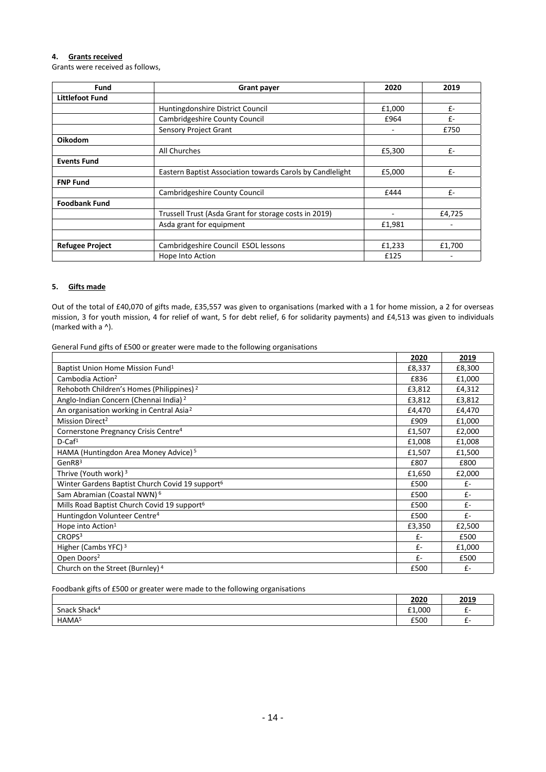## **4. Grants received**

Grants were received as follows,

| Fund                   | <b>Grant payer</b>                                        | 2020                     | 2019   |
|------------------------|-----------------------------------------------------------|--------------------------|--------|
| <b>Littlefoot Fund</b> |                                                           |                          |        |
|                        | Huntingdonshire District Council                          | £1,000                   | £-     |
|                        | Cambridgeshire County Council                             | £964                     | $f -$  |
|                        | Sensory Project Grant                                     | ٠                        | £750   |
| Oikodom                |                                                           |                          |        |
|                        | All Churches                                              | £5,300                   | $f -$  |
| <b>Events Fund</b>     |                                                           |                          |        |
|                        | Eastern Baptist Association towards Carols by Candlelight | £5,000                   | $f -$  |
| <b>FNP Fund</b>        |                                                           |                          |        |
|                        | <b>Cambridgeshire County Council</b>                      | £444                     | $f -$  |
| <b>Foodbank Fund</b>   |                                                           |                          |        |
|                        | Trussell Trust (Asda Grant for storage costs in 2019)     | $\overline{\phantom{0}}$ | £4,725 |
|                        | Asda grant for equipment                                  | £1,981                   |        |
|                        |                                                           |                          |        |
| <b>Refugee Project</b> | Cambridgeshire Council ESOL lessons                       | £1,233                   | £1,700 |
|                        | Hope Into Action                                          | £125                     |        |

# **5. Gifts made**

Out of the total of £40,070 of gifts made, £35,557 was given to organisations (marked with a 1 for home mission, a 2 for overseas mission, 3 for youth mission, 4 for relief of want, 5 for debt relief, 6 for solidarity payments) and £4,513 was given to individuals (marked with a ^).

General Fund gifts of £500 or greater were made to the following organisations

|                                                             | 2020   | 2019   |
|-------------------------------------------------------------|--------|--------|
| Baptist Union Home Mission Fund <sup>1</sup>                | £8,337 | £8,300 |
| Cambodia Action <sup>2</sup>                                | £836   | £1,000 |
| Rehoboth Children's Homes (Philippines) <sup>2</sup>        | £3,812 | £4,312 |
| Anglo-Indian Concern (Chennai India) <sup>2</sup>           | £3,812 | £3,812 |
| An organisation working in Central Asia <sup>2</sup>        | £4,470 | £4,470 |
| Mission Direct <sup>2</sup>                                 | £909   | £1,000 |
| Cornerstone Pregnancy Crisis Centre <sup>4</sup>            | £1,507 | £2,000 |
| $D$ -Caf <sup>1</sup>                                       | £1,008 | £1,008 |
| HAMA (Huntingdon Area Money Advice) <sup>5</sup>            | £1,507 | £1,500 |
| Gen $R83$                                                   | £807   | £800   |
| Thrive (Youth work) 3                                       | £1,650 | £2,000 |
| Winter Gardens Baptist Church Covid 19 support <sup>6</sup> | £500   | $f -$  |
| Sam Abramian (Coastal NWN) <sup>6</sup>                     | £500   | $f -$  |
| Mills Road Baptist Church Covid 19 support <sup>6</sup>     | £500   | $f -$  |
| Huntingdon Volunteer Centre <sup>4</sup>                    | £500   | $f -$  |
| Hope into Action <sup>1</sup>                               | £3,350 | £2,500 |
| CROPS <sup>3</sup>                                          | $f -$  | £500   |
| Higher (Cambs YFC) <sup>3</sup>                             | $f -$  | £1,000 |
| Open Doors <sup>2</sup>                                     | $f -$  | £500   |
| Church on the Street (Burnley) <sup>4</sup>                 | £500   | $f -$  |

#### Foodbank gifts of £500 or greater were made to the following organisations

|                          | 2020   | 2019           |
|--------------------------|--------|----------------|
| Snack Shack <sup>4</sup> | £1,000 | <b>T-</b><br>- |
| HAMA <sup>5</sup>        | £500   | -              |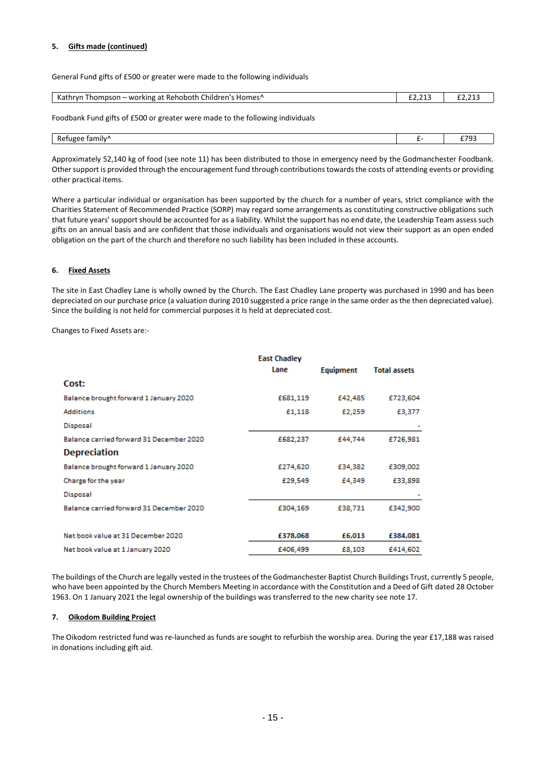## **5. Gifts made (continued)**

General Fund gifts of £500 or greater were made to the following individuals

| Kathryn<br>`hildren′<br>^Homes د<br><b>Thompson – working at Rehoboth</b> | ------<br>___ | $\sim$ |
|---------------------------------------------------------------------------|---------------|--------|
|                                                                           |               |        |

Foodbank Fund gifts of £500 or greater were made to the following individuals

| $\cdots$ |  |
|----------|--|
|          |  |

Approximately 52,140 kg of food (see note 11) has been distributed to those in emergency need by the Godmanchester Foodbank. Other support is provided through the encouragement fund through contributions towards the costs of attending events or providing other practical items.

Where a particular individual or organisation has been supported by the church for a number of years, strict compliance with the Charities Statement of Recommended Practice (SORP) may regard some arrangements as constituting constructive obligations such that future years' support should be accounted for as a liability. Whilst the support has no end date, the Leadership Team assess such gifts on an annual basis and are confident that those individuals and organisations would not view their support as an open ended obligation on the part of the church and therefore no such liability has been included in these accounts.

## **6. Fixed Assets**

The site in East Chadley Lane is wholly owned by the Church. The East Chadley Lane property was purchased in 1990 and has been depreciated on our purchase price (a valuation during 2010 suggested a price range in the same order as the then depreciated value). Since the building is not held for commercial purposes it Is held at depreciated cost.

Changes to Fixed Assets are:-

|                                          | <b>East Chadley</b> |           |                     |
|------------------------------------------|---------------------|-----------|---------------------|
|                                          | Lane                | Equipment | <b>Total assets</b> |
| Cost:                                    |                     |           |                     |
| Balance brought forward 1 January 2020   | £681,119            | £42,485   | £723,604            |
| <b>Additions</b>                         | £1,118              | £2,259    | £3,377              |
| Disposal                                 |                     |           |                     |
| Balance carried forward 31 December 2020 | £682,237            | £44,744   | £726,981            |
| <b>Depreciation</b>                      |                     |           |                     |
| Balance brought forward 1 January 2020   | £274,620            | £34,382   | £309,002            |
| Charge for the year                      | £29,549             | £4,349    | £33,898             |
| Disposal                                 |                     |           |                     |
| Balance carried forward 31 December 2020 | £304,169            | £38,731   | £342,900            |
|                                          |                     |           |                     |
| Net book value at 31 December 2020       | £378,068            | £6,013    | £384,081            |
| Net book value at 1 January 2020         | £406,499            | £8,103    | £414,602            |

The buildings of the Church are legally vested in the trustees of the Godmanchester Baptist Church Buildings Trust, currently 5 people, who have been appointed by the Church Members Meeting in accordance with the Constitution and a Deed of Gift dated 28 October 1963. On 1 January 2021 the legal ownership of the buildings was transferred to the new charity see note 17.

## **7. Oikodom Building Project**

The Oikodom restricted fund was re-launched as funds are sought to refurbish the worship area. During the year £17,188 was raised in donations including gift aid.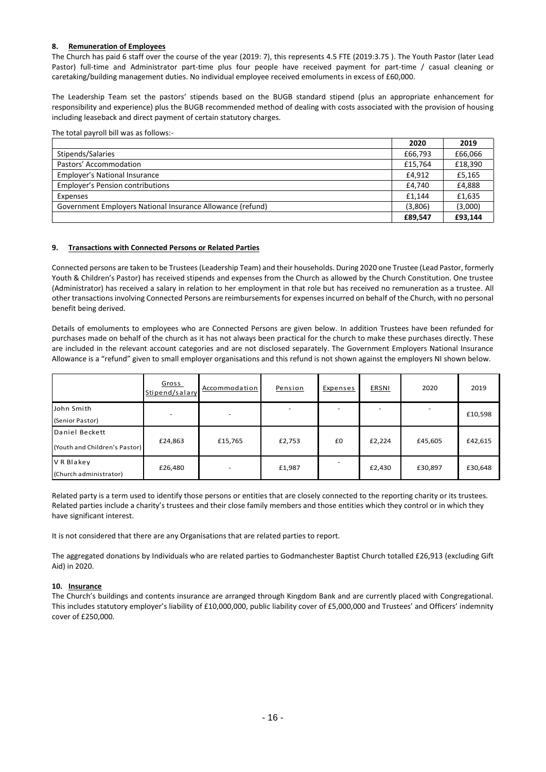## **8. Remuneration of Employees**

The Church has paid 6 staff over the course of the year (2019: 7), this represents 4.5 FTE (2019:3.75 ). The Youth Pastor (later Lead Pastor) full-time and Administrator part-time plus four people have received payment for part-time / casual cleaning or caretaking/building management duties. No individual employee received emoluments in excess of £60,000.

The Leadership Team set the pastors' stipends based on the BUGB standard stipend (plus an appropriate enhancement for responsibility and experience) plus the BUGB recommended method of dealing with costs associated with the provision of housing including leaseback and direct payment of certain statutory charges.

The total payroll bill was as follows:-

|                                                            | 2020    | 2019    |
|------------------------------------------------------------|---------|---------|
| Stipends/Salaries                                          | £66,793 | £66,066 |
| Pastors' Accommodation                                     | £15.764 | £18.390 |
| <b>Employer's National Insurance</b>                       | £4.912  | £5,165  |
| <b>Employer's Pension contributions</b>                    | £4.740  | £4.888  |
| Expenses                                                   | £1.144  | £1,635  |
| Government Employers National Insurance Allowance (refund) | (3,806) | (3,000) |
|                                                            | £89.547 | £93.144 |

## **9. Transactions with Connected Persons or Related Parties**

Connected persons are taken to be Trustees (Leadership Team) and their households. During 2020 one Trustee (Lead Pastor, formerly Youth & Children's Pastor) has received stipends and expenses from the Church as allowed by the Church Constitution. One trustee (Administrator) has received a salary in relation to her employment in that role but has received no remuneration as a trustee. All other transactions involving Connected Persons are reimbursements for expenses incurred on behalf of the Church, with no personal benefit being derived.

Details of emoluments to employees who are Connected Persons are given below. In addition Trustees have been refunded for purchases made on behalf of the church as it has not always been practical for the church to make these purchases directly. These are included in the relevant account categories and are not disclosed separately. The Government Employers National Insurance Allowance is a "refund" given to small employer organisations and this refund is not shown against the employers NI shown below.

|                               | Gross<br>Stipend/salary | Accommodation | Pension | Expenses | <b>ERSNI</b> | 2020    | 2019    |
|-------------------------------|-------------------------|---------------|---------|----------|--------------|---------|---------|
| John Smith                    |                         |               |         |          |              |         | £10,598 |
| (Senior Pastor)               |                         |               |         |          |              |         |         |
| Daniel Beckett                |                         |               |         |          |              |         |         |
| (Youth and Children's Pastor) | £24,863                 | £15,765       | £2,753  | £0       | £2,224       | £45,605 | £42,615 |
| V R Blakey                    | £26,480                 |               | £1,987  |          | £2,430       | £30,897 | £30,648 |
| (Church administrator)        |                         |               |         |          |              |         |         |

Related party is a term used to identify those persons or entities that are closely connected to the reporting charity or its trustees. Related parties include a charity's trustees and their close family members and those entities which they control or in which they have significant interest.

It is not considered that there are any Organisations that are related parties to report.

The aggregated donations by Individuals who are related parties to Godmanchester Baptist Church totalled £26,913 (excluding Gift Aid) in 2020.

## **10. Insurance**

The Church's buildings and contents insurance are arranged through Kingdom Bank and are currently placed with Congregational. This includes statutory employer's liability of £10,000,000, public liability cover of £5,000,000 and Trustees' and Officers' indemnity cover of £250,000.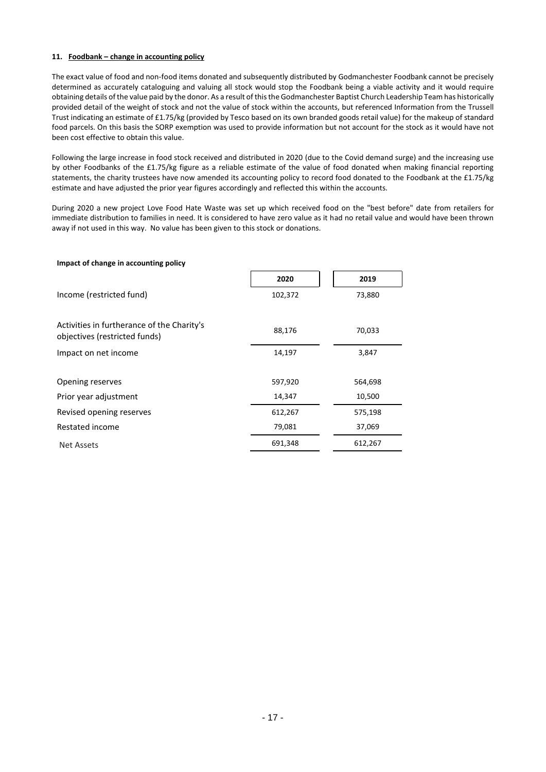## **11. Foodbank – change in accounting policy**

The exact value of food and non-food items donated and subsequently distributed by Godmanchester Foodbank cannot be precisely determined as accurately cataloguing and valuing all stock would stop the Foodbank being a viable activity and it would require obtaining details of the value paid by the donor. As a result of this the Godmanchester Baptist Church Leadership Team has historically provided detail of the weight of stock and not the value of stock within the accounts, but referenced Information from the Trussell Trust indicating an estimate of £1.75/kg (provided by Tesco based on its own branded goods retail value) for the makeup of standard food parcels. On this basis the SORP exemption was used to provide information but not account for the stock as it would have not been cost effective to obtain this value.

Following the large increase in food stock received and distributed in 2020 (due to the Covid demand surge) and the increasing use by other Foodbanks of the £1.75/kg figure as a reliable estimate of the value of food donated when making financial reporting statements, the charity trustees have now amended its accounting policy to record food donated to the Foodbank at the £1.75/kg estimate and have adjusted the prior year figures accordingly and reflected this within the accounts.

During 2020 a new project Love Food Hate Waste was set up which received food on the "best before" date from retailers for immediate distribution to families in need. It is considered to have zero value as it had no retail value and would have been thrown away if not used in this way. No value has been given to this stock or donations.

| Impact of change in accounting policy                                       |         |         |
|-----------------------------------------------------------------------------|---------|---------|
|                                                                             | 2020    | 2019    |
| Income (restricted fund)                                                    | 102,372 | 73,880  |
| Activities in furtherance of the Charity's<br>objectives (restricted funds) | 88,176  | 70,033  |
| Impact on net income                                                        | 14,197  | 3,847   |
|                                                                             |         |         |
| Opening reserves                                                            | 597,920 | 564,698 |
| Prior year adjustment                                                       | 14,347  | 10,500  |
| Revised opening reserves                                                    | 612,267 | 575,198 |
| Restated income                                                             | 79,081  | 37,069  |
| <b>Net Assets</b>                                                           | 691,348 | 612,267 |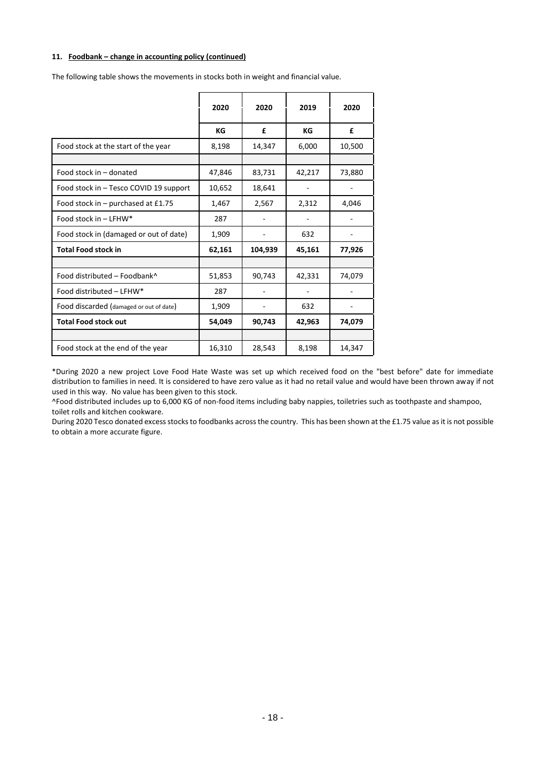## **11. Foodbank – change in accounting policy (continued)**

|                                         | 2020   | 2020    | 2019   | 2020   |
|-----------------------------------------|--------|---------|--------|--------|
|                                         | КG     | £       | KG     | £      |
| Food stock at the start of the year     | 8,198  | 14,347  | 6,000  | 10,500 |
|                                         |        |         |        |        |
| Food stock in - donated                 | 47,846 | 83,731  | 42,217 | 73,880 |
| Food stock in - Tesco COVID 19 support  | 10,652 | 18,641  |        |        |
| Food stock in $-$ purchased at £1.75    | 1,467  | 2,567   | 2,312  | 4,046  |
| Food stock in $-$ LFHW*                 | 287    |         |        |        |
| Food stock in (damaged or out of date)  | 1,909  |         | 632    |        |
| <b>Total Food stock in</b>              | 62,161 | 104,939 | 45,161 | 77,926 |
|                                         |        |         |        |        |
| Food distributed - Foodbank^            | 51,853 | 90,743  | 42,331 | 74,079 |
| Food distributed - LFHW*                | 287    |         |        |        |
| Food discarded (damaged or out of date) | 1,909  |         | 632    |        |
| <b>Total Food stock out</b>             | 54,049 | 90,743  | 42,963 | 74,079 |
|                                         |        |         |        |        |
| Food stock at the end of the year       | 16,310 | 28,543  | 8,198  | 14,347 |

\*During 2020 a new project Love Food Hate Waste was set up which received food on the "best before" date for immediate distribution to families in need. It is considered to have zero value as it had no retail value and would have been thrown away if not used in this way. No value has been given to this stock.

^Food distributed includes up to 6,000 KG of non-food items including baby nappies, toiletries such as toothpaste and shampoo, toilet rolls and kitchen cookware.

During 2020 Tesco donated excess stocks to foodbanks across the country. This has been shown at the £1.75 value as it is not possible to obtain a more accurate figure.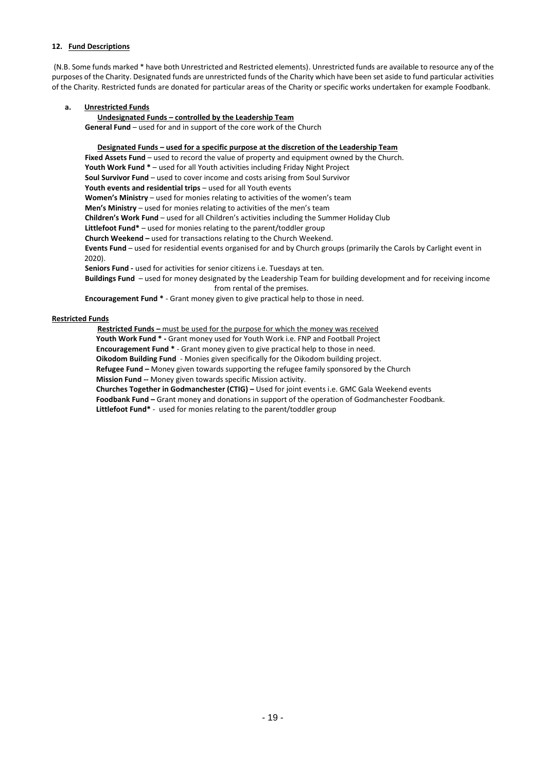## **12. Fund Descriptions**

(N.B. Some funds marked \* have both Unrestricted and Restricted elements). Unrestricted funds are available to resource any of the purposes of the Charity. Designated funds are unrestricted funds of the Charity which have been set aside to fund particular activities of the Charity. Restricted funds are donated for particular areas of the Charity or specific works undertaken for example Foodbank.

#### **a. Unrestricted Funds**

#### **Undesignated Funds – controlled by the Leadership Team**

**General Fund** – used for and in support of the core work of the Church

**Designated Funds – used for a specific purpose at the discretion of the Leadership Team** Fixed Assets Fund – used to record the value of property and equipment owned by the Church. **Youth Work Fund \*** – used for all Youth activities including Friday Night Project **Soul Survivor Fund** – used to cover income and costs arising from Soul Survivor **Youth events and residential trips** – used for all Youth events **Women's Ministry** – used for monies relating to activities of the women's team **Men's Ministry** – used for monies relating to activities of the men's team **Children's Work Fund** – used for all Children's activities including the Summer Holiday Club **Littlefoot Fund\*** – used for monies relating to the parent/toddler group **Church Weekend –** used for transactions relating to the Church Weekend. **Events Fund** – used for residential events organised for and by Church groups (primarily the Carols by Carlight event in 2020). **Seniors Fund -** used for activities for senior citizens i.e. Tuesdays at ten. **Buildings Fund** – used for money designated by the Leadership Team for building development and for receiving income from rental of the premises. **Encouragement Fund \*** - Grant money given to give practical help to those in need.

#### **Restricted Funds**

**Restricted Funds –** must be used for the purpose for which the money was received  **Youth Work Fund \* -** Grant money used for Youth Work i.e. FNP and Football Project  **Encouragement Fund \*** - Grant money given to give practical help to those in need.  **Oikodom Building Fund** - Monies given specifically for the Oikodom building project.  **Refugee Fund –** Money given towards supporting the refugee family sponsored by the Church  **Mission Fund --** Money given towards specific Mission activity.  **Churches Together in Godmanchester (CTIG) –** Used for joint events i.e. GMC Gala Weekend events  **Foodbank Fund –** Grant money and donations in support of the operation of Godmanchester Foodbank.  **Littlefoot Fund\*** - used for monies relating to the parent/toddler group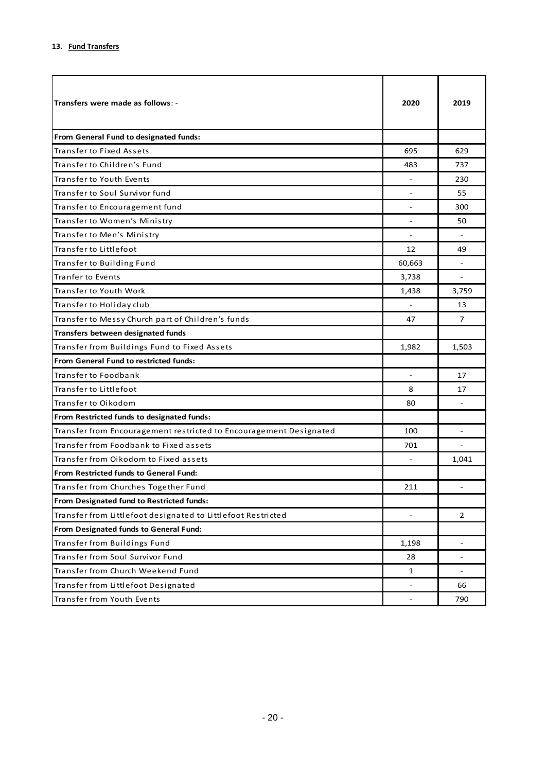| Transfers were made as follows: -                                  | 2020                     | 2019                     |
|--------------------------------------------------------------------|--------------------------|--------------------------|
| From General Fund to designated funds:                             |                          |                          |
| Transfer to Fixed Assets                                           | 695                      | 629                      |
| Transfer to Children's Fund                                        | 483                      | 737                      |
| Transfer to Youth Events                                           |                          | 230                      |
| Transfer to Soul Survivor fund                                     |                          | 55                       |
| Transfer to Encouragement fund                                     |                          | 300                      |
| Transfer to Women's Ministry                                       |                          | 50                       |
| Transfer to Men's Ministry                                         |                          |                          |
| Transfer to Littlefoot                                             | 12                       | 49                       |
| Transfer to Building Fund                                          | 60,663                   |                          |
| Tranfer to Events                                                  | 3,738                    |                          |
| Transfer to Youth Work                                             | 1,438                    | 3,759                    |
| Transfer to Holiday club                                           |                          | 13                       |
| Transfer to Messy Church part of Children's funds                  | 47                       | $\overline{7}$           |
| Transfers between designated funds                                 |                          |                          |
| Transfer from Buildings Fund to Fixed Assets                       | 1,982                    | 1,503                    |
| From General Fund to restricted funds:                             |                          |                          |
| Transfer to Foodbank                                               |                          | 17                       |
| Transfer to Littlefoot                                             | 8                        | 17                       |
| Transfer to Oikodom                                                | 80                       |                          |
| From Restricted funds to designated funds:                         |                          |                          |
| Transfer from Encouragement restricted to Encouragement Designated | 100                      |                          |
| Transfer from Foodbank to Fixed assets                             | 701                      |                          |
| Transfer from Oikodom to Fixed assets                              |                          | 1,041                    |
| From Restricted funds to General Fund:                             |                          |                          |
| Transfer from Churches Together Fund                               | 211                      |                          |
| From Designated fund to Restricted funds:                          |                          |                          |
| Transfer from Littlefoot designated to Littlefoot Restricted       |                          | 2                        |
| From Designated funds to General Fund:                             |                          |                          |
| Transfer from Buildings Fund                                       | 1,198                    | $\overline{\phantom{a}}$ |
| Transfer from Soul Survivor Fund                                   | 28                       |                          |
| Transfer from Church Weekend Fund                                  | $\mathbf{1}$             | $\overline{\phantom{a}}$ |
| Transfer from Littlefoot Designated                                |                          | 66                       |
| Transfer from Youth Events                                         | $\overline{\phantom{a}}$ | 790                      |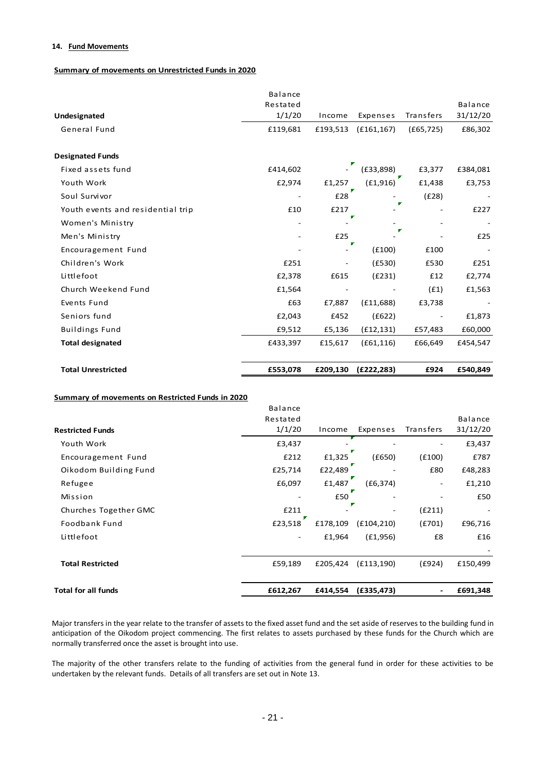## **14. Fund Movements**

## **Summary of movements on Unrestricted Funds in 2020**

|                                    | <b>Balance</b> |          |             |            |          |
|------------------------------------|----------------|----------|-------------|------------|----------|
|                                    | Restated       |          |             |            | Balance  |
| Undesignated                       | 1/1/20         | Income   | Expenses    | Transfers  | 31/12/20 |
| General Fund                       | £119,681       | £193,513 | (E161, 167) | (f65, 725) | £86,302  |
| <b>Designated Funds</b>            |                |          |             |            |          |
| Fixed assets fund                  | £414,602       |          | (E33,898)   | £3,377     | £384,081 |
| Youth Work                         | £2,974         | £1,257   | (E1,916)    | £1,438     | £3,753   |
| Soul Survivor                      |                | £28      |             | (E28)      |          |
| Youth events and residential trip: | £10            | £217     |             |            | £227     |
| Women's Ministry                   |                |          |             |            |          |
| Men's Ministry                     |                | £25      |             |            | £25      |
| Encouragement Fund                 |                |          | (E100)      | £100       |          |
| Children's Work                    | £251           |          | (E530)      | £530       | £251     |
| Littlefoot                         | £2,378         | £615     | (E231)      | £12        | £2,774   |
| Church Weekend Fund                | £1,564         |          |             | (E1)       | £1,563   |
| Events Fund                        | £63            | £7,887   | (E11,688)   | £3,738     |          |
| Seniors fund                       | £2,043         | £452     | (E622)      |            | £1,873   |
| <b>Buildings Fund</b>              | £9,512         | £5,136   | (f12, 131)  | £57,483    | £60,000  |
| <b>Total designated</b>            | £433,397       | £15,617  | (E61, 116)  | £66,649    | £454,547 |
| <b>Total Unrestricted</b>          | £553,078       | £209,130 | (E222, 283) | £924       | £540,849 |

## **Summary of movements on Restricted Funds in 2020**

| <b>Total for all funds</b> | £612,267       | £414,554 | (E335, 473) | ۰.        | £691,348 |
|----------------------------|----------------|----------|-------------|-----------|----------|
| <b>Total Restricted</b>    | £59,189        | £205,424 | (E113, 190) | (E924)    | £150,499 |
| Littlefoot                 |                | £1,964   | (E1,956)    | £8        | £16      |
| Foodbank Fund              | £23,518        | £178,109 | (E104, 210) | (E701)    | £96,716  |
| Churches Together GMC      | £211           |          |             | (E211)    |          |
| Mission                    |                | £50      |             |           | £50      |
| Refugee                    | £6,097         | £1,487   | (E6, 374)   |           | £1,210   |
| Oikodom Building Fund      | £25,714        | £22,489  |             | £80       | £48,283  |
| Encouragement Fund         | £212           | £1,325   | (£650)      | (E100)    | £787     |
| Youth Work                 | £3,437         |          |             |           | £3,437   |
| <b>Restricted Funds</b>    | 1/1/20         | Income   | Expenses    | Transfers | 31/12/20 |
|                            | Restated       |          |             |           | Balance  |
|                            | <b>Balance</b> |          |             |           |          |

Major transfers in the year relate to the transfer of assets to the fixed asset fund and the set aside of reserves to the building fund in anticipation of the Oikodom project commencing. The first relates to assets purchased by these funds for the Church which are normally transferred once the asset is brought into use.

The majority of the other transfers relate to the funding of activities from the general fund in order for these activities to be undertaken by the relevant funds. Details of all transfers are set out in Note 13.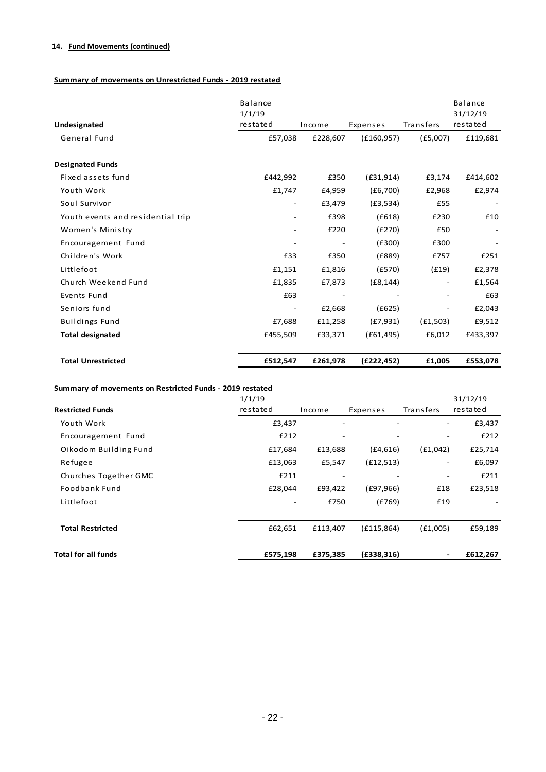# **14. Fund Movements (continued)**

# **Summary of movements on Unrestricted Funds - 2019 restated**

| Undesignated                       | <b>Balance</b><br>1/1/19<br>restated | Income                   | Expenses    | Transfers | <b>Balance</b><br>31/12/19<br>restated |
|------------------------------------|--------------------------------------|--------------------------|-------------|-----------|----------------------------------------|
| General Fund                       | £57,038                              | £228,607                 | (E160, 957) | (E5,007)  | £119,681                               |
| <b>Designated Funds</b>            |                                      |                          |             |           |                                        |
| Fixed assets fund                  | £442,992                             | £350                     | (E31,914)   | £3,174    | £414,602                               |
| Youth Work                         | £1,747                               | £4,959                   | (E6,700)    | £2,968    | £2,974                                 |
| Soul Survivor                      | -                                    | £3,479                   | (E3,534)    | £55       |                                        |
| Youth events and residential trips | -                                    | £398                     | (E618)      | £230      | £10                                    |
| Women's Ministry                   | $\overline{\phantom{0}}$             | £220                     | (E270)      | £50       |                                        |
| Encouragement Fund                 | $\overline{\phantom{a}}$             | $\overline{\phantom{a}}$ | (E300)      | £300      |                                        |
| Children's Work                    | £33                                  | £350                     | (E889)      | £757      | £251                                   |
| Littlefoot                         | £1,151                               | £1,816                   | (E570)      | (f19)     | £2,378                                 |
| Church Weekend Fund                | £1,835                               | £7,873                   | (E8, 144)   |           | £1,564                                 |
| Events Fund                        | £63                                  |                          |             |           | £63                                    |
| Seniors fund                       | $\overline{\phantom{a}}$             | £2,668                   | (E625)      |           | £2,043                                 |
| <b>Buildings Fund</b>              | £7,688                               | £11,258                  | (E7, 931)   | (E1,503)  | £9,512                                 |
| <b>Total designated</b>            | £455,509                             | £33,371                  | (E61, 495)  | £6,012    | £433,397                               |
| <b>Total Unrestricted</b>          | £512,547                             | £261,978                 | (E222, 452) | £1,005    | £553,078                               |

| <b>Total for all funds</b>                               | £575,198                 | £375,385                 | (E338, 316) | ۰         | £612,267 |
|----------------------------------------------------------|--------------------------|--------------------------|-------------|-----------|----------|
| <b>Total Restricted</b>                                  | £62,651                  | £113,407                 | (E115, 864) | (E1,005)  | £59,189  |
| Littlefoot                                               | $\overline{\phantom{0}}$ | £750                     | (E769)      | £19       |          |
| Foodbank Fund                                            | £28,044                  | £93,422                  | (E97,966)   | £18       | £23,518  |
| Churches Together GMC                                    | £211                     | $\overline{\phantom{a}}$ | ۰           |           | £211     |
| Refugee                                                  | £13,063                  | £5,547                   | (f12,513)   | ۰.        | £6,097   |
| Oikodom Building Fund                                    | £17,684                  | £13,688                  | (E4,616)    | (f1,042)  | £25,714  |
| Encouragement Fund                                       | £212                     |                          |             |           | £212     |
| Youth Work                                               | £3,437                   | $\overline{\phantom{a}}$ | -           |           | £3,437   |
| <b>Restricted Funds</b>                                  | restated                 | Income                   | Expenses    | Transfers | restated |
|                                                          | 1/1/19                   |                          |             |           | 31/12/19 |
| Summary of movements on Restricted Funds - 2019 restated |                          |                          |             |           |          |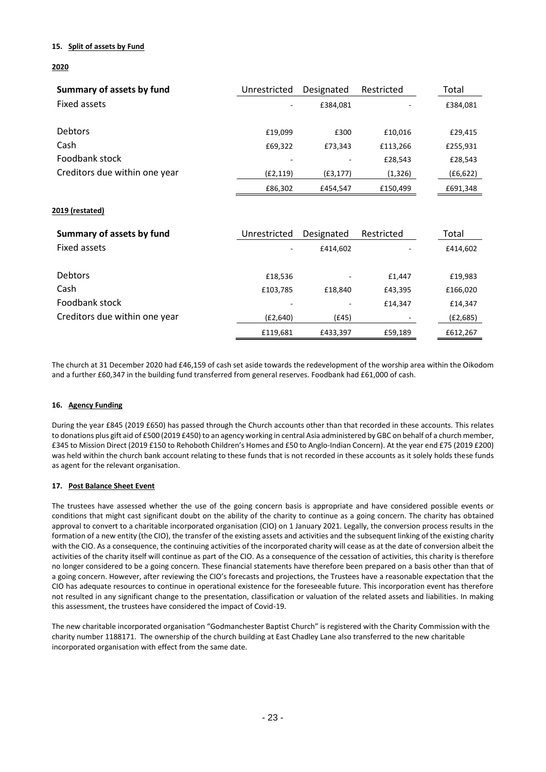## **15. Split of assets by Fund**

## **2020**

| Summary of assets by fund     | Unrestricted | Designated | Restricted | Total     |
|-------------------------------|--------------|------------|------------|-----------|
| Fixed assets                  | ٠            | £384.081   |            | £384,081  |
|                               |              |            |            |           |
| <b>Debtors</b>                | £19.099      | £300       | £10.016    | £29,415   |
| Cash                          | £69,322      | £73,343    | £113,266   | £255,931  |
| Foodbank stock                | ٠            |            | £28,543    | £28,543   |
| Creditors due within one year | (E2, 119)    | (E3, 177)  | (1, 326)   | (E6, 622) |
|                               | £86,302      | £454,547   | £150.499   | £691,348  |

## **2019 (restated)**

| Summary of assets by fund     | Unrestricted | Designated | Restricted | Total    |
|-------------------------------|--------------|------------|------------|----------|
| Fixed assets                  |              | £414,602   |            | £414,602 |
|                               |              |            |            |          |
| <b>Debtors</b>                | £18,536      | ۰          | £1,447     | £19,983  |
| Cash                          | £103,785     | £18,840    | £43,395    | £166,020 |
| Foodbank stock                |              |            | £14,347    | £14,347  |
| Creditors due within one year | (E2,640)     | (£45)      |            | (£2,685) |
|                               | £119,681     | £433,397   | £59,189    | £612,267 |

The church at 31 December 2020 had £46,159 of cash set aside towards the redevelopment of the worship area within the Oikodom and a further £60,347 in the building fund transferred from general reserves. Foodbank had £61,000 of cash.

## **16. Agency Funding**

During the year £845 (2019 £650) has passed through the Church accounts other than that recorded in these accounts. This relates to donations plus gift aid of £500 (2019 £450) to an agency working in central Asia administered by GBC on behalf of a church member, £345 to Mission Direct (2019 £150 to Rehoboth Children's Homes and £50 to Anglo-Indian Concern). At the year end £75 (2019 £200) was held within the church bank account relating to these funds that is not recorded in these accounts as it solely holds these funds as agent for the relevant organisation.

## **17. Post Balance Sheet Event**

The trustees have assessed whether the use of the going concern basis is appropriate and have considered possible events or conditions that might cast significant doubt on the ability of the charity to continue as a going concern. The charity has obtained approval to convert to a charitable incorporated organisation (CIO) on 1 January 2021. Legally, the conversion process results in the formation of a new entity (the CIO), the transfer of the existing assets and activities and the subsequent linking of the existing charity with the CIO. As a consequence, the continuing activities of the incorporated charity will cease as at the date of conversion albeit the activities of the charity itself will continue as part of the CIO. As a consequence of the cessation of activities, this charity is therefore no longer considered to be a going concern. These financial statements have therefore been prepared on a basis other than that of a going concern. However, after reviewing the CIO's forecasts and projections, the Trustees have a reasonable expectation that the CIO has adequate resources to continue in operational existence for the foreseeable future. This incorporation event has therefore not resulted in any significant change to the presentation, classification or valuation of the related assets and liabilities. In making this assessment, the trustees have considered the impact of Covid-19.

The new charitable incorporated organisation "Godmanchester Baptist Church" is registered with the Charity Commission with the charity number 1188171. The ownership of the church building at East Chadley Lane also transferred to the new charitable incorporated organisation with effect from the same date.